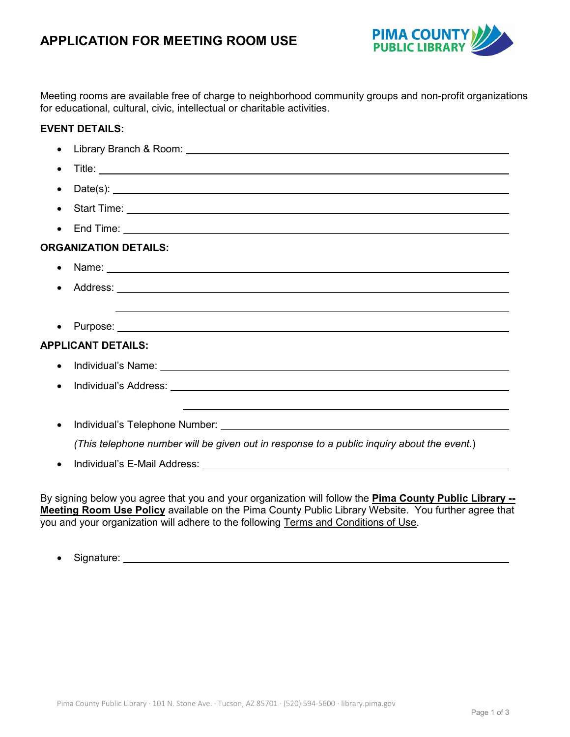

Meeting rooms are available free of charge to neighborhood community groups and non-profit organizations for educational, cultural, civic, intellectual or charitable activities.

# **EVENT DETAILS:**

|                              | Library Branch & Room: <u>International Community of the Community of the Community of the Community of the Community of the Community of the Community of the Community of the Community of the Community of the Community of t</u> |
|------------------------------|--------------------------------------------------------------------------------------------------------------------------------------------------------------------------------------------------------------------------------------|
|                              |                                                                                                                                                                                                                                      |
|                              | Date(s): $\qquad \qquad$                                                                                                                                                                                                             |
|                              |                                                                                                                                                                                                                                      |
|                              |                                                                                                                                                                                                                                      |
| <b>ORGANIZATION DETAILS:</b> |                                                                                                                                                                                                                                      |
|                              | Name: Name: Name and All Contract Contract Contract Contract Contract Contract Contract Contract Contract Contract Contract Contract Contract Contract Contract Contract Contract Contract Contract Contract Contract Contract       |
|                              |                                                                                                                                                                                                                                      |
|                              | ,我们也不会有什么。""我们的人,我们也不会有什么?""我们的人,我们也不会有什么?""我们的人,我们也不会有什么?""我们的人,我们也不会有什么?""我们的人                                                                                                                                                     |
|                              |                                                                                                                                                                                                                                      |
| <b>APPLICANT DETAILS:</b>    |                                                                                                                                                                                                                                      |
|                              | Individual's Name: <u>contract the contract of the contract of the contract of the contract of the contract of the contract of the contract of the contract of the contract of the contract of the contract of the contract of t</u> |
|                              |                                                                                                                                                                                                                                      |
|                              |                                                                                                                                                                                                                                      |
|                              |                                                                                                                                                                                                                                      |
|                              | (This telephone number will be given out in response to a public inquiry about the event.)                                                                                                                                           |
|                              |                                                                                                                                                                                                                                      |
|                              |                                                                                                                                                                                                                                      |

By signing below you agree that you and your organization will follow the **Pima County Public Library -- Meeting Room Use Policy** available on the Pima County Public Library Website. You further agree that you and your organization will adhere to the following Terms and Conditions of Use.

• Signature: Note also a series and the series of the series of the series of the series of the series of the series of the series of the series of the series of the series of the series of the series of the series of the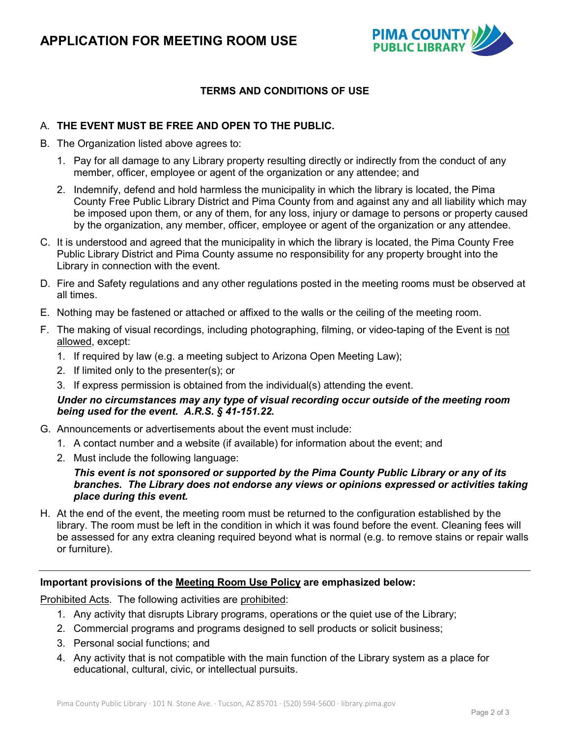

# **TERMS AND CONDITIONS OF USE**

# A. **THE EVENT MUST BE FREE AND OPEN TO THE PUBLIC.**

- B. The Organization listed above agrees to:
	- 1. Pay for all damage to any Library property resulting directly or indirectly from the conduct of any member, officer, employee or agent of the organization or any attendee; and
	- 2. Indemnify, defend and hold harmless the municipality in which the library is located, the Pima County Free Public Library District and Pima County from and against any and all liability which may be imposed upon them, or any of them, for any loss, injury or damage to persons or property caused by the organization, any member, officer, employee or agent of the organization or any attendee.
- C. It is understood and agreed that the municipality in which the library is located, the Pima County Free Public Library District and Pima County assume no responsibility for any property brought into the Library in connection with the event.
- D. Fire and Safety regulations and any other regulations posted in the meeting rooms must be observed at all times.
- E. Nothing may be fastened or attached or affixed to the walls or the ceiling of the meeting room.
- F. The making of visual recordings, including photographing, filming, or video-taping of the Event is not allowed, except:
	- 1. If required by law (e.g. a meeting subject to Arizona Open Meeting Law);
	- 2. If limited only to the presenter(s); or
	- 3. If express permission is obtained from the individual(s) attending the event.

### *Under no circumstances may any type of visual recording occur outside of the meeting room being used for the event. A.R.S. § 41-151.22.*

- G. Announcements or advertisements about the event must include:
	- 1. A contact number and a website (if available) for information about the event; and
	- 2. Must include the following language:

#### *This event is not sponsored or supported by the Pima County Public Library or any of its branches. The Library does not endorse any views or opinions expressed or activities taking place during this event.*

H. At the end of the event, the meeting room must be returned to the configuration established by the library. The room must be left in the condition in which it was found before the event. Cleaning fees will be assessed for any extra cleaning required beyond what is normal (e.g. to remove stains or repair walls or furniture).

#### **Important provisions of the Meeting Room Use Policy are emphasized below:**

Prohibited Acts. The following activities are prohibited:

- 1. Any activity that disrupts Library programs, operations or the quiet use of the Library;
- 2. Commercial programs and programs designed to sell products or solicit business;
- 3. Personal social functions; and
- 4. Any activity that is not compatible with the main function of the Library system as a place for educational, cultural, civic, or intellectual pursuits.